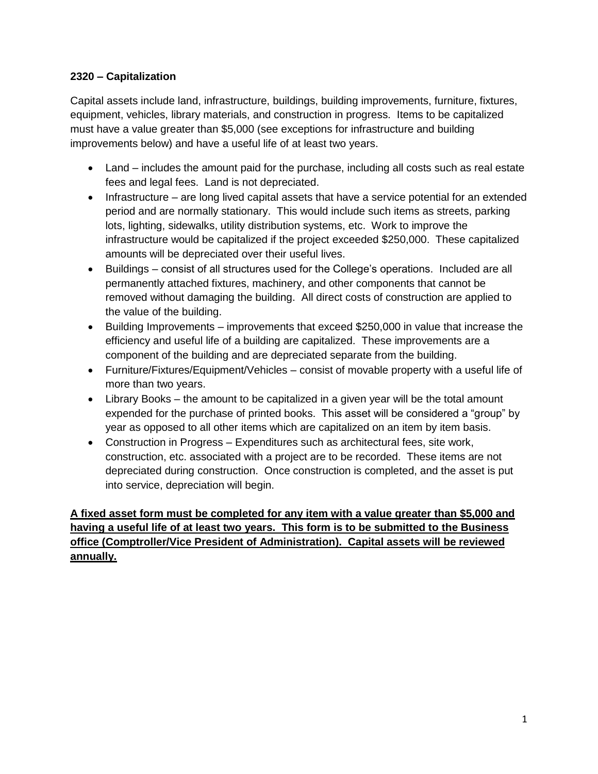## **2320 – Capitalization**

Capital assets include land, infrastructure, buildings, building improvements, furniture, fixtures, equipment, vehicles, library materials, and construction in progress. Items to be capitalized must have a value greater than \$5,000 (see exceptions for infrastructure and building improvements below) and have a useful life of at least two years.

- Land includes the amount paid for the purchase, including all costs such as real estate fees and legal fees. Land is not depreciated.
- Infrastructure are long lived capital assets that have a service potential for an extended period and are normally stationary. This would include such items as streets, parking lots, lighting, sidewalks, utility distribution systems, etc. Work to improve the infrastructure would be capitalized if the project exceeded \$250,000. These capitalized amounts will be depreciated over their useful lives.
- Buildings consist of all structures used for the College's operations. Included are all permanently attached fixtures, machinery, and other components that cannot be removed without damaging the building. All direct costs of construction are applied to the value of the building.
- Building Improvements improvements that exceed \$250,000 in value that increase the efficiency and useful life of a building are capitalized. These improvements are a component of the building and are depreciated separate from the building.
- Furniture/Fixtures/Equipment/Vehicles consist of movable property with a useful life of more than two years.
- Library Books the amount to be capitalized in a given year will be the total amount expended for the purchase of printed books. This asset will be considered a "group" by year as opposed to all other items which are capitalized on an item by item basis.
- Construction in Progress Expenditures such as architectural fees, site work, construction, etc. associated with a project are to be recorded. These items are not depreciated during construction. Once construction is completed, and the asset is put into service, depreciation will begin.

**A fixed asset form must be completed for any item with a value greater than \$5,000 and having a useful life of at least two years. This form is to be submitted to the Business office (Comptroller/Vice President of Administration). Capital assets will be reviewed annually.**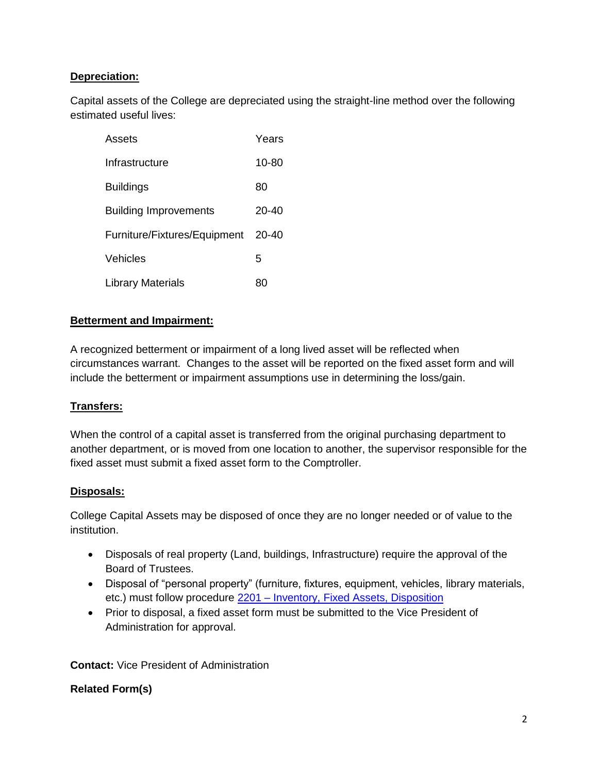# **Depreciation:**

Capital assets of the College are depreciated using the straight-line method over the following estimated useful lives:

| Assets                       | Years |
|------------------------------|-------|
| Infrastructure               | 10-80 |
| <b>Buildings</b>             | 80    |
| <b>Building Improvements</b> | 20-40 |
| Furniture/Fixtures/Equipment | 20-40 |
| Vehicles                     | 5     |
| Library Materials            | 80    |

## **Betterment and Impairment:**

A recognized betterment or impairment of a long lived asset will be reflected when circumstances warrant. Changes to the asset will be reported on the fixed asset form and will include the betterment or impairment assumptions use in determining the loss/gain.

## **Transfers:**

When the control of a capital asset is transferred from the original purchasing department to another department, or is moved from one location to another, the supervisor responsible for the fixed asset must submit a fixed asset form to the Comptroller.

## **Disposals:**

College Capital Assets may be disposed of once they are no longer needed or of value to the institution.

- Disposals of real property (Land, buildings, Infrastructure) require the approval of the Board of Trustees.
- Disposal of "personal property" (furniture, fixtures, equipment, vehicles, library materials, etc.) must follow procedure 2201 – [Inventory, Fixed Assets, Disposition](https://docs.bartonccc.edu/procedures/2201-inventory_fixedassets_disposition.pdf)
- Prior to disposal, a fixed asset form must be submitted to the Vice President of Administration for approval.

**Contact:** Vice President of Administration

## **Related Form(s)**